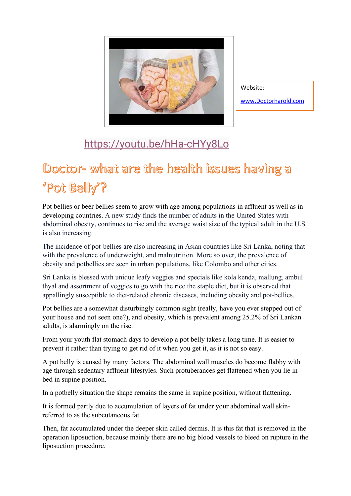

Website: [www.Doctorharold.com](http://www.doctorharold.com/)

<https://youtu.be/hHa-cHYy8Lo>

## Doctor- what are the health issues having a 'Pot Belly'?

Pot bellies or beer bellies seem to grow with age among populations in affluent as well as in developing countries. A new study finds the number of adults in the United States with abdominal obesity, continues to rise and the average waist size of the typical adult in the U.S. is also increasing.

The incidence of pot-bellies are also increasing in Asian countries like Sri Lanka, noting that with the prevalence of underweight, and malnutrition. More so over, the prevalence of obesity and potbellies are seen in urban populations, like Colombo and other cities.

Sri Lanka is blessed with unique leafy veggies and specials like kola kenda, mallung, ambul thyal and assortment of veggies to go with the rice the staple diet, but it is observed that appallingly susceptible to diet-related chronic diseases, including obesity and pot-bellies.

Pot bellies are a somewhat disturbingly common sight (really, have you ever stepped out of your house and not seen one?), and obesity, which is prevalent among 25.2% of Sri Lankan adults, is alarmingly on the rise.

From your youth flat stomach days to develop a pot belly takes a long time. It is easier to prevent it rather than trying to get rid of it when you get it, as it is not so easy.

A pot belly is caused by many factors. The abdominal wall muscles do become flabby with age through sedentary affluent lifestyles. Such protuberances get flattened when you lie in bed in supine position.

In a potbelly situation the shape remains the same in supine position, without flattening.

It is formed partly due to accumulation of layers of fat under your abdominal wall skinreferred to as the subcutaneous fat.

Then, fat accumulated under the deeper skin called dermis. It is this fat that is removed in the operation liposuction, because mainly there are no big blood vessels to bleed on rupture in the liposuction procedure.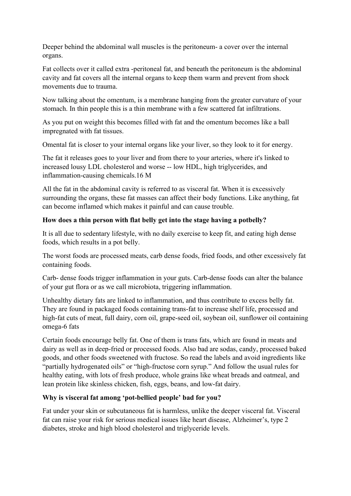Deeper behind the abdominal wall muscles is the peritoneum- a cover over the internal organs.

Fat collects over it called extra -peritoneal fat, and beneath the peritoneum is the abdominal cavity and fat covers all the internal organs to keep them warm and prevent from shock movements due to trauma.

Now talking about the omentum, is a membrane hanging from the greater curvature of your stomach. In thin people this is a thin membrane with a few scattered fat infiltrations.

As you put on weight this becomes filled with fat and the omentum becomes like a ball impregnated with fat tissues.

Omental fat is closer to your internal organs like your liver, so they look to it for energy.

The fat it releases goes to your liver and from there to your arteries, where it's linked to increased lousy LDL cholesterol and worse -- low HDL, high triglycerides, and inflammation-causing chemicals.16 M

All the fat in the abdominal cavity is referred to as visceral fat. When it is excessively surrounding the organs, these fat masses can affect their body functions. Like anything, fat can become inflamed which makes it painful and can cause trouble.

## **How does a thin person with flat belly get into the stage having a potbelly?**

It is all due to sedentary lifestyle, with no daily exercise to keep fit, and eating high dense foods, which results in a pot belly.

The worst foods are processed meats, carb dense foods, fried foods, and other excessively fat containing foods.

Carb- dense foods trigger inflammation in your guts. Carb-dense foods can alter the balance of your gut flora or as we call microbiota, triggering inflammation.

Unhealthy dietary fats are linked to inflammation, and thus contribute to excess belly fat. They are found in packaged foods containing trans-fat to increase shelf life, processed and high-fat cuts of meat, full dairy, corn oil, grape-seed oil, soybean oil, sunflower oil containing omega-6 fats

Certain foods encourage belly fat. One of them is trans fats, which are found in meats and dairy as well as in deep-fried or processed foods. Also bad are sodas, candy, processed baked goods, and other foods sweetened with fructose. So read the labels and avoid ingredients like "partially hydrogenated oils" or "high-fructose corn syrup." And follow the usual rules for healthy eating, with lots of fresh produce, whole grains like wheat breads and oatmeal, and lean protein like skinless chicken, fish, eggs, beans, and low-fat dairy.

## **Why is visceral fat among 'pot-bellied people' bad for you?**

Fat under your skin or subcutaneous fat is harmless, unlike the deeper visceral fat. Visceral fat can raise your risk for serious medical issues like heart disease, Alzheimer's, type 2 diabetes, stroke and high blood cholesterol and triglyceride levels.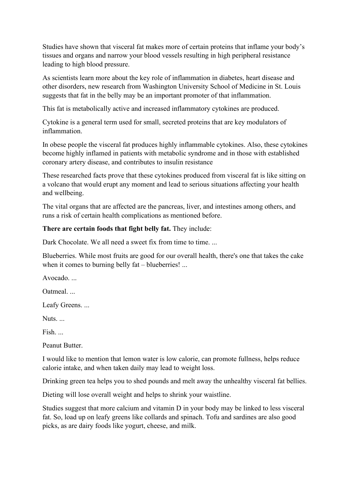Studies have shown that visceral fat makes more of certain proteins that inflame your body's tissues and organs and narrow your blood vessels resulting in high peripheral resistance leading to high blood pressure.

As scientists learn more about the key role of inflammation in diabetes, heart disease and other disorders, new research from Washington University School of Medicine in St. Louis suggests that fat in the belly may be an important promoter of that inflammation.

This fat is metabolically active and increased inflammatory cytokines are produced.

Cytokine is a general term used for small, secreted proteins that are key modulators of inflammation.

In obese people the visceral fat produces highly inflammable cytokines. Also, these cytokines become highly inflamed in patients with metabolic syndrome and in those with established coronary artery disease, and contributes to insulin resistance

These researched facts prove that these cytokines produced from visceral fat is like sitting on a volcano that would erupt any moment and lead to serious situations affecting your health and wellbeing.

The vital organs that are affected are the pancreas, liver, and intestines among others, and runs a risk of certain health complications as mentioned before.

## **There are certain foods that fight belly fat.** They include:

Dark Chocolate. We all need a sweet fix from time to time. ...

Blueberries. While most fruits are good for our overall health, there's one that takes the cake when it comes to burning belly fat – blueberries! ...

Avocado. ...

Oatmeal. ...

Leafy Greens. ...

Nuts.

Fish. ...

Peanut Butter.

I would like to mention that lemon water is low calorie, can promote fullness, helps reduce calorie intake, and when taken daily may lead to weight loss.

Drinking green tea helps you to shed pounds and melt away the unhealthy visceral fat bellies.

Dieting will lose overall weight and helps to shrink your waistline.

Studies suggest that more calcium and vitamin D in your body may be linked to less visceral fat. So, load up on leafy greens like collards and spinach. Tofu and sardines are also good picks, as are dairy foods like yogurt, cheese, and milk.